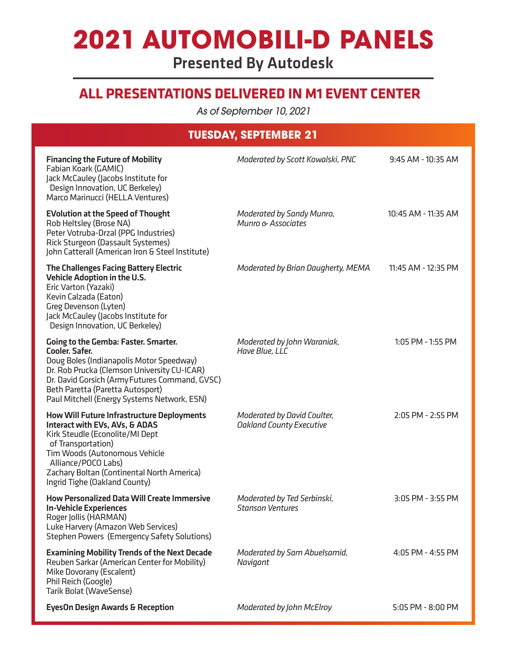# **2021 AUTOMOBILI-D PANELS**

Presented By Autodesk

### **ALL PRESENTATIONS DELIVERED IN M1 EVENT CENTER**

*As of September 10, 2021*

### **TUESDAY, SEPTEMBER 21**

| <b>Financing the Future of Mobility</b><br>Fabian Koark (GAMIC)<br>Jack McCauley (Jacobs Institute for<br>Design Innovation, UC Berkeley)<br>Marco Marinucci (HELLA Ventures)                                                                                                                        | Moderated by Scott Kowalski, PNC                               | 9:45 AM - 10:35 AM    |
|------------------------------------------------------------------------------------------------------------------------------------------------------------------------------------------------------------------------------------------------------------------------------------------------------|----------------------------------------------------------------|-----------------------|
| <b>EVolution at the Speed of Thought</b><br>Rob Heltsley (Brose NA)<br>Peter Votruba-Drzal (PPG Industries)<br>Rick Sturgeon (Dassault Systemes)<br>John Catterall (American Iron & Steel Institute)                                                                                                 | Moderated by Sandy Munro,<br>Munro & Associates                | 10:45 AM - 11:35 AM   |
| <b>The Challenges Facing Battery Electric</b><br><b>Vehicle Adoption in the U.S.</b><br>Eric Varton (Yazaki)<br>Kevin Calzada (Eaton)<br>Greg Devenson (Lyten)<br>Jack McCauley (Jacobs Institute for<br>Design Innovation, UC Berkeley)                                                             | Moderated by Brian Daugherty, MEMA                             | 11:45 AM - 12:35 PM   |
| <b>Going to the Gemba: Faster. Smarter.</b><br><b>Cooler. Safer.</b><br>Doug Boles (Indianapolis Motor Speedway)<br>Dr. Rob Prucka (Clemson University CU-ICAR)<br>Dr. David Gorsich (Army Futures Command, GVSC)<br>Beth Paretta (Paretta Autosport)<br>Paul Mitchell (Energy Systems Network, ESN) | Moderated by John Waraniak,<br>Have Blue, LLC                  | 1:05 PM - 1:55 PM     |
| <b>How Will Future Infrastructure Deployments</b><br>Interact with EVs, AVs, & ADAS<br>Kirk Steudle (Econolite/MI Dept<br>of Transportation)<br>Tim Woods (Autonomous Vehicle<br>Alliance/POCO Labs)<br>Zachary Boltan (Continental North America)<br>Ingrid Tighe (Oakland County)                  | Moderated by David Coulter,<br><b>Oakland County Executive</b> | 2:05 PM - 2:55 PM     |
| <b>How Personalized Data Will Create Immersive</b><br><b>In-Vehicle Experiences</b><br>Roger Jollis (HARMAN)<br>Luke Harvery (Amazon Web Services)<br><b>Stephen Powers (Emergency Safety Solutions)</b>                                                                                             | Moderated by Ted Serbinski,<br><b>Stanson Ventures</b>         | 3:05 PM - 3:55 PM     |
| <b>Examining Mobility Trends of the Next Decade</b><br>Reuben Sarkar (American Center for Mobility)<br>Mike Dovorany (Escalent)<br>Phil Reich (Google)<br>Tarik Bolat (WaveSense)                                                                                                                    | Moderated by Sam Abuelsamid,<br>Navigant                       | 4:05 PM - 4:55 PM     |
| <b>EyesOn Design Awards &amp; Reception</b>                                                                                                                                                                                                                                                          | Moderated by John McElroy                                      | $5:05$ PM - $8:00$ PM |